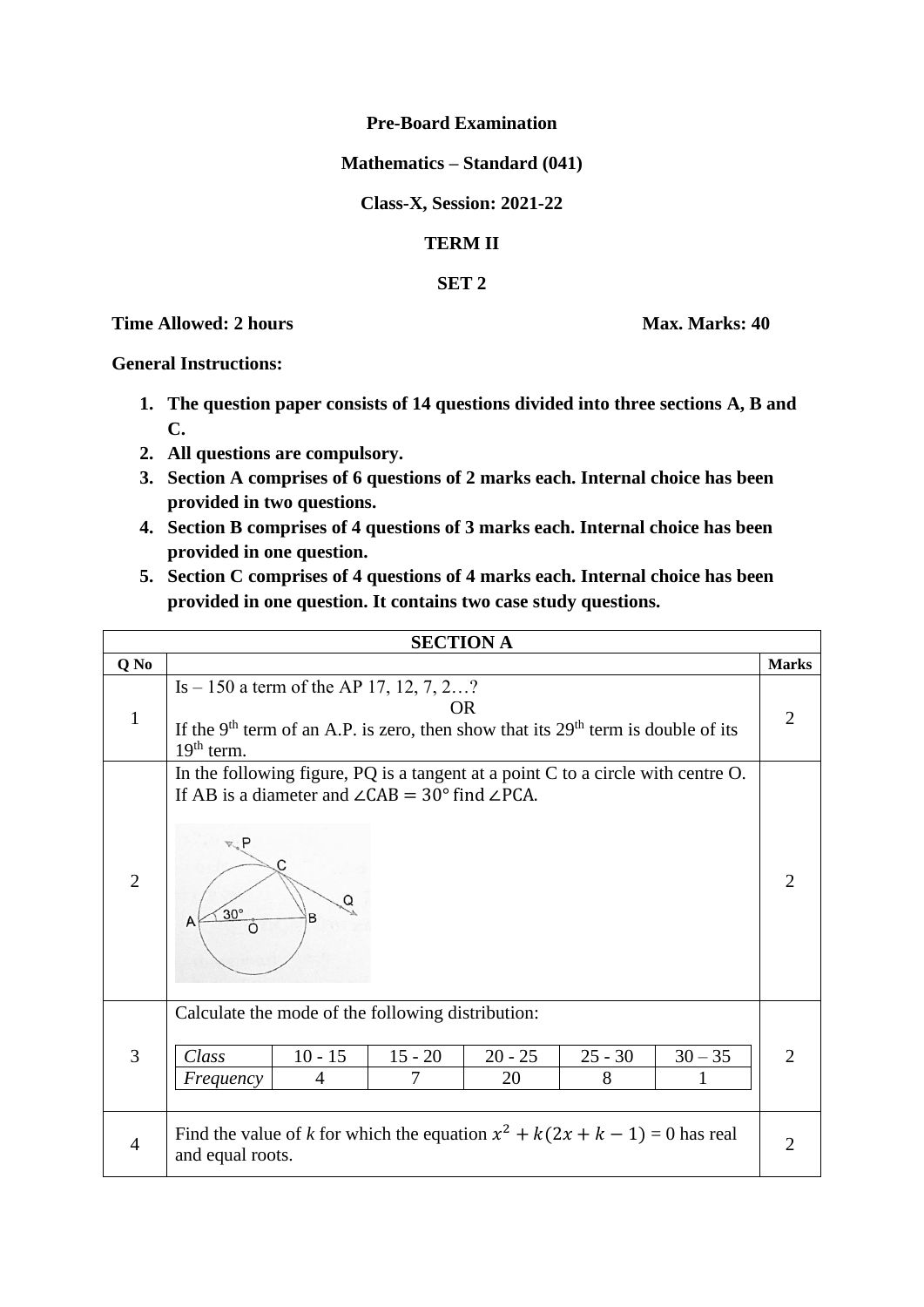## **Pre-Board Examination**

## **Mathematics – Standard (041)**

**Class-X, Session: 2021-22**

## **TERM II**

## **SET 2**

**Time Allowed: 2 hours Max. Marks: 40** 

**General Instructions:** 

- **1. The question paper consists of 14 questions divided into three sections A, B and C.**
- **2. All questions are compulsory.**
- **3. Section A comprises of 6 questions of 2 marks each. Internal choice has been provided in two questions.**
- **4. Section B comprises of 4 questions of 3 marks each. Internal choice has been provided in one question.**
- **5. Section C comprises of 4 questions of 4 marks each. Internal choice has been provided in one question. It contains two case study questions.**

| <b>SECTION A</b> |                                                                                                                                                                                               |                |                 |                |                |                             |  |  |  |  |
|------------------|-----------------------------------------------------------------------------------------------------------------------------------------------------------------------------------------------|----------------|-----------------|----------------|----------------|-----------------------------|--|--|--|--|
| Q No             |                                                                                                                                                                                               |                |                 |                |                | <b>Marks</b>                |  |  |  |  |
| $\mathbf{1}$     | Is $-150$ a term of the AP 17, 12, 7, 2?<br><b>OR</b><br>If the 9 <sup>th</sup> term of an A.P. is zero, then show that its $29th$ term is double of its<br>$19th$ term.                      |                |                 |                |                |                             |  |  |  |  |
| $\overline{2}$   | In the following figure, PQ is a tangent at a point C to a circle with centre O.<br>If AB is a diameter and $\angle$ CAB = 30° find $\angle$ PCA.<br>R, P<br>$30^\circ$<br>B<br>A<br>$\Omega$ |                |                 |                |                | $\mathcal{D}_{\mathcal{L}}$ |  |  |  |  |
| $\overline{3}$   | Calculate the mode of the following distribution:<br>Class<br>$10 - 15$<br>4<br>Frequency                                                                                                     | $15 - 20$<br>7 | $20 - 25$<br>20 | $25 - 30$<br>8 | $30 - 35$<br>1 | $\mathcal{D}_{\cdot}$       |  |  |  |  |
| $\overline{4}$   | Find the value of k for which the equation $x^2 + k(2x + k - 1) = 0$ has real<br>and equal roots.                                                                                             |                |                 |                |                | 2                           |  |  |  |  |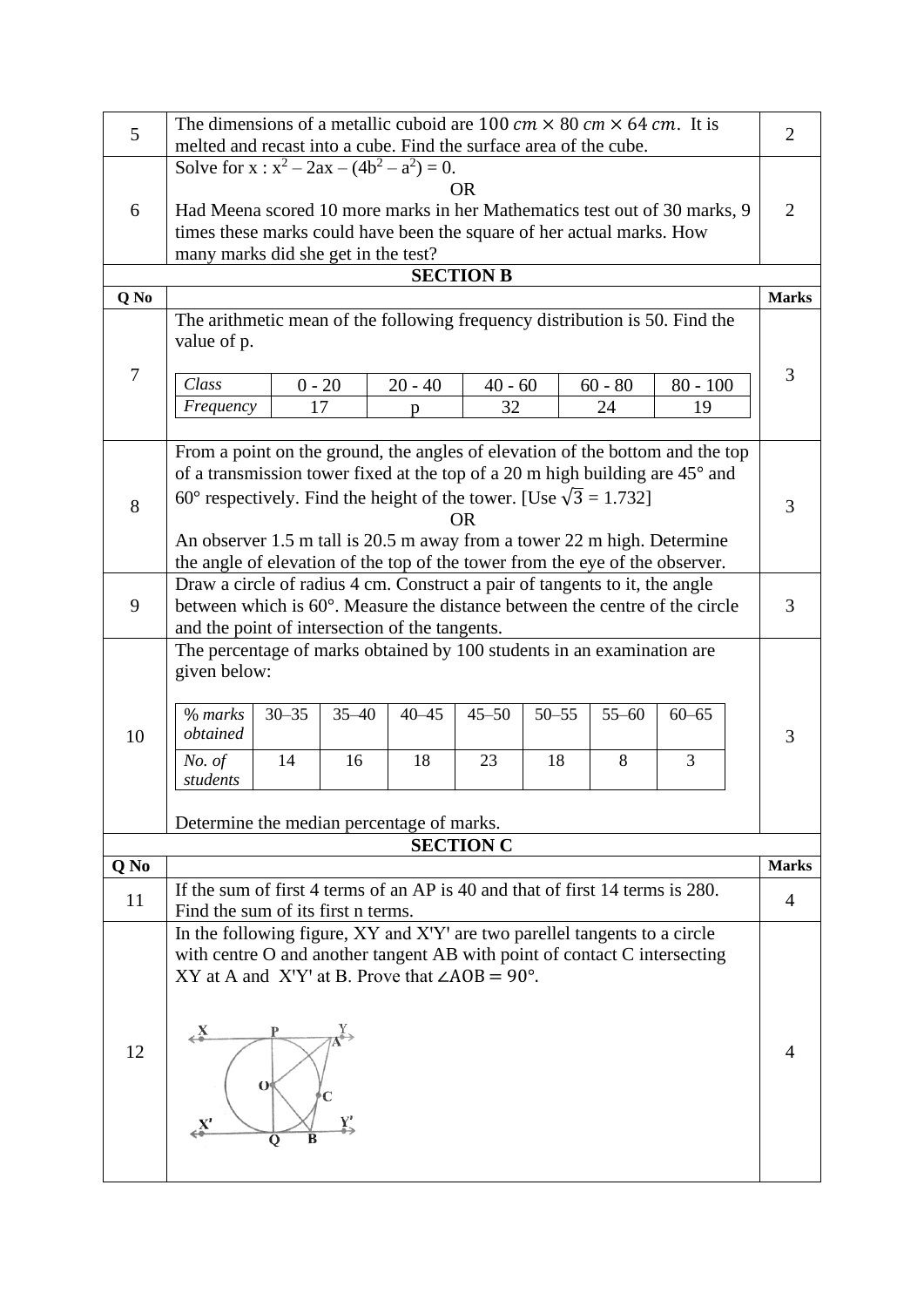| 5      | The dimensions of a metallic cuboid are 100 $cm \times 80$ $cm \times 64$ $cm$ . It is<br>melted and recast into a cube. Find the surface area of the cube.                                                                                                                                                                                                                                                        |                 |                 |                 |                  |                 |                 |                                                                                                 |  | $\overline{2}$ |  |  |
|--------|--------------------------------------------------------------------------------------------------------------------------------------------------------------------------------------------------------------------------------------------------------------------------------------------------------------------------------------------------------------------------------------------------------------------|-----------------|-----------------|-----------------|------------------|-----------------|-----------------|-------------------------------------------------------------------------------------------------|--|----------------|--|--|
| 6      | Solve for $x : x^2 - 2ax - (4b^2 - a^2) = 0$ .<br><b>OR</b><br>Had Meena scored 10 more marks in her Mathematics test out of 30 marks, 9<br>times these marks could have been the square of her actual marks. How<br>many marks did she get in the test?                                                                                                                                                           |                 |                 |                 |                  |                 |                 |                                                                                                 |  |                |  |  |
|        | <b>SECTION B</b>                                                                                                                                                                                                                                                                                                                                                                                                   |                 |                 |                 |                  |                 |                 |                                                                                                 |  |                |  |  |
| Q No   |                                                                                                                                                                                                                                                                                                                                                                                                                    |                 |                 |                 |                  |                 |                 |                                                                                                 |  | <b>Marks</b>   |  |  |
| $\tau$ | value of p.<br>Class<br>Frequency                                                                                                                                                                                                                                                                                                                                                                                  | $0 - 20$        | 17              | $20 - 40$<br>p  | $40 - 60$<br>32  |                 | $60 - 80$<br>24 | The arithmetic mean of the following frequency distribution is 50. Find the<br>$80 - 100$<br>19 |  | 3              |  |  |
| 8      | From a point on the ground, the angles of elevation of the bottom and the top<br>of a transmission tower fixed at the top of a 20 m high building are 45° and<br>60° respectively. Find the height of the tower. [Use $\sqrt{3} = 1.732$ ]<br><b>OR</b><br>An observer 1.5 m tall is 20.5 m away from a tower 22 m high. Determine<br>the angle of elevation of the top of the tower from the eye of the observer. |                 |                 |                 |                  |                 |                 |                                                                                                 |  | 3              |  |  |
| 9      | Draw a circle of radius 4 cm. Construct a pair of tangents to it, the angle<br>between which is 60°. Measure the distance between the centre of the circle<br>and the point of intersection of the tangents.                                                                                                                                                                                                       |                 |                 |                 |                  |                 |                 |                                                                                                 |  | 3              |  |  |
| 10     | The percentage of marks obtained by 100 students in an examination are<br>given below:<br>$%$ marks<br>obtained<br>No. of<br>students<br>Determine the median percentage of marks.                                                                                                                                                                                                                                 | $30 - 35$<br>14 | $35 - 40$<br>16 | $40 - 45$<br>18 | $45 - 50$<br>23  | $50 - 55$<br>18 | $55 - 60$<br>8  | $60 - 65$<br>3                                                                                  |  | 3              |  |  |
|        |                                                                                                                                                                                                                                                                                                                                                                                                                    |                 |                 |                 | <b>SECTION C</b> |                 |                 |                                                                                                 |  |                |  |  |
| Q No   |                                                                                                                                                                                                                                                                                                                                                                                                                    |                 |                 |                 |                  |                 |                 |                                                                                                 |  | <b>Marks</b>   |  |  |
| 11     | If the sum of first 4 terms of an AP is 40 and that of first 14 terms is 280.<br>Find the sum of its first n terms.                                                                                                                                                                                                                                                                                                |                 |                 |                 |                  |                 |                 |                                                                                                 |  | $\overline{4}$ |  |  |
| 12     | In the following figure, XY and X'Y' are two parellel tangents to a circle<br>with centre O and another tangent AB with point of contact C intersecting<br>XY at A and X'Y' at B. Prove that $\angle AOB = 90^\circ$ .<br>$\leftarrow$<br>O<br>$\mathbf{x}'$<br>$\mathbf Q$                                                                                                                                        |                 |                 |                 |                  |                 |                 |                                                                                                 |  | 4              |  |  |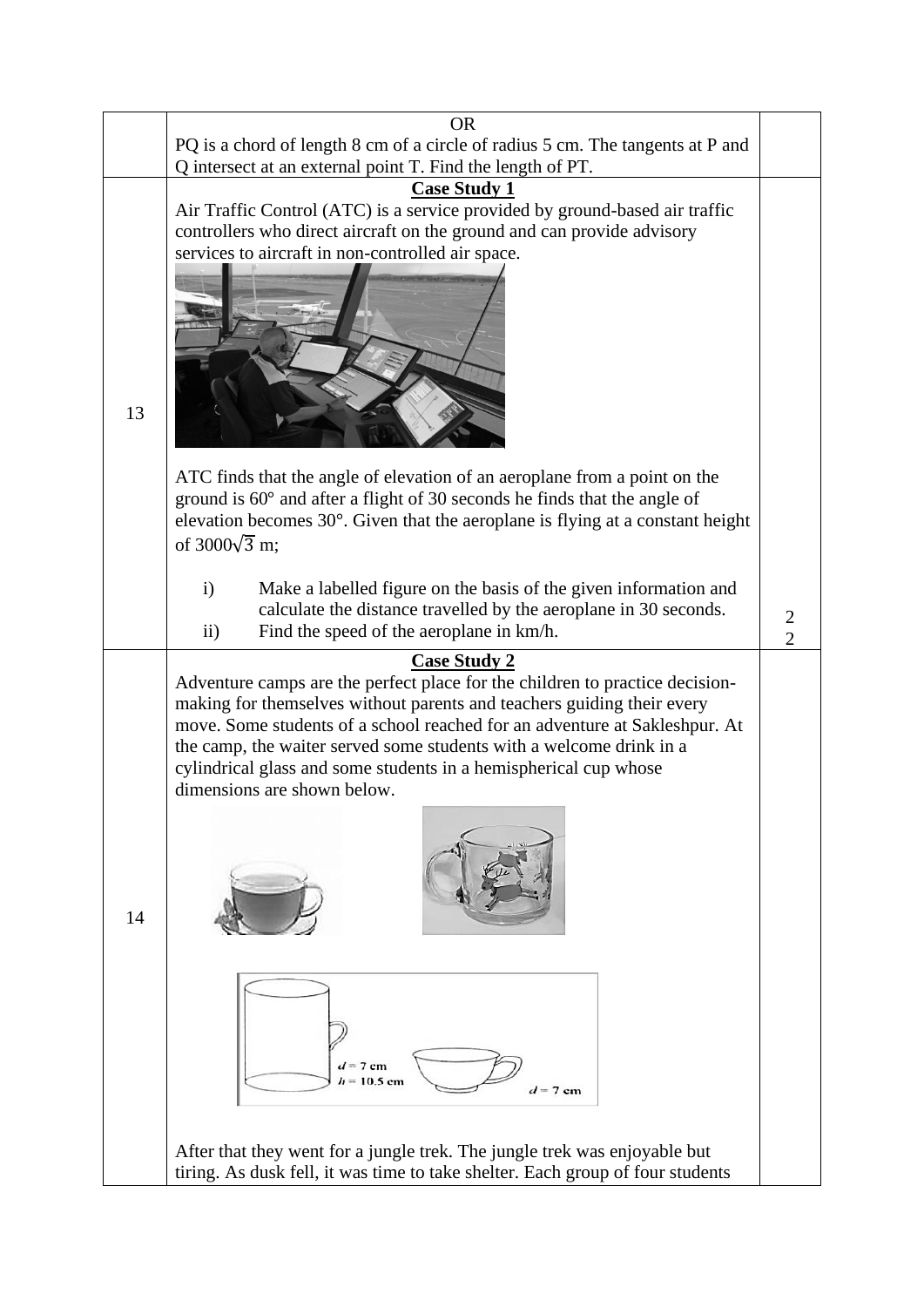